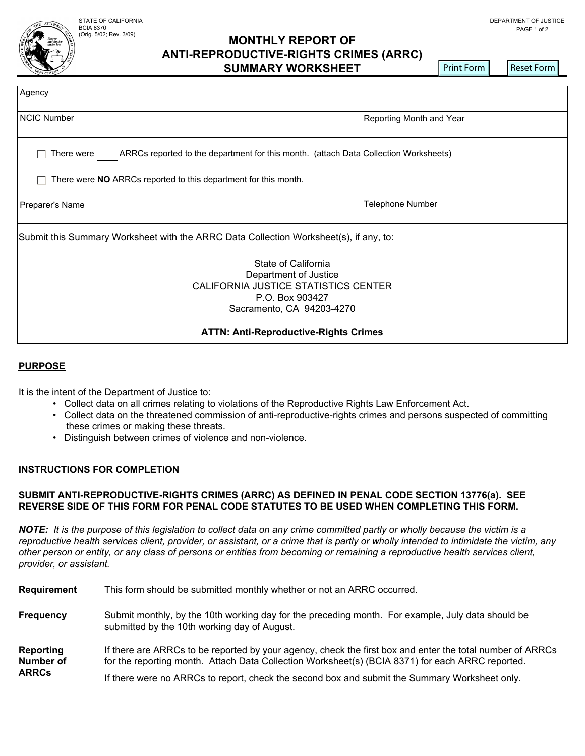#### (Orig. 5/02; Rev. 3/09) PAGE 1 of 2 **MONTHLY REPORT OF ANTI-REPRODUCTIVE-RIGHTS CRIMES (ARRC) SUMMARY WORKSHEET**

Print Form **Reset Form** 

| Agency                                                                                                                               |                          |  |
|--------------------------------------------------------------------------------------------------------------------------------------|--------------------------|--|
| <b>NCIC Number</b>                                                                                                                   | Reporting Month and Year |  |
| ARRCs reported to the department for this month. (attach Data Collection Worksheets)<br>There were                                   |                          |  |
| There were <b>NO</b> ARRCs reported to this department for this month.                                                               |                          |  |
| Preparer's Name                                                                                                                      | Telephone Number         |  |
| Submit this Summary Worksheet with the ARRC Data Collection Worksheet(s), if any, to:                                                |                          |  |
| State of California<br>Department of Justice<br>CALIFORNIA JUSTICE STATISTICS CENTER<br>P.O. Box 903427<br>Sacramento, CA 94203-4270 |                          |  |
| <b>ATTN: Anti-Reproductive-Rights Crimes</b>                                                                                         |                          |  |

## **PURPOSE**

It is the intent of the Department of Justice to:

- Collect data on all crimes relating to violations of the Reproductive Rights Law Enforcement Act.
- Collect data on the threatened commission of anti-reproductive-rights crimes and persons suspected of committing these crimes or making these threats.
- Distinguish between crimes of violence and non-violence.

## **INSTRUCTIONS FOR COMPLETION**

# **SUBMIT ANTI-REPRODUCTIVE-RIGHTS CRIMES (ARRC) AS DEFINED IN PENAL CODE SECTION 13776(a). SEE REVERSE SIDE OF THIS FORM FOR PENAL CODE STATUTES TO BE USED WHEN COMPLETING THIS FORM.**

*NOTE: It is the purpose of this legislation to collect data on any crime committed partly or wholly because the victim is a reproductive health services client, provider, or assistant, or a crime that is partly or wholly intended to intimidate the victim, any other person or entity, or any class of persons or entities from becoming or remaining a reproductive health services client, provider, or assistant.*

| Requirement                                   | This form should be submitted monthly whether or not an ARRC occurred.                                                                                                                                                                                                                                         |  |
|-----------------------------------------------|----------------------------------------------------------------------------------------------------------------------------------------------------------------------------------------------------------------------------------------------------------------------------------------------------------------|--|
| <b>Frequency</b>                              | Submit monthly, by the 10th working day for the preceding month. For example, July data should be<br>submitted by the 10th working day of August.                                                                                                                                                              |  |
| Reporting<br><b>Number of</b><br><b>ARRCs</b> | If there are ARRCs to be reported by your agency, check the first box and enter the total number of ARRCs<br>for the reporting month. Attach Data Collection Worksheet(s) (BCIA 8371) for each ARRC reported.<br>If there were no ARRCs to report, check the second box and submit the Summary Worksheet only. |  |